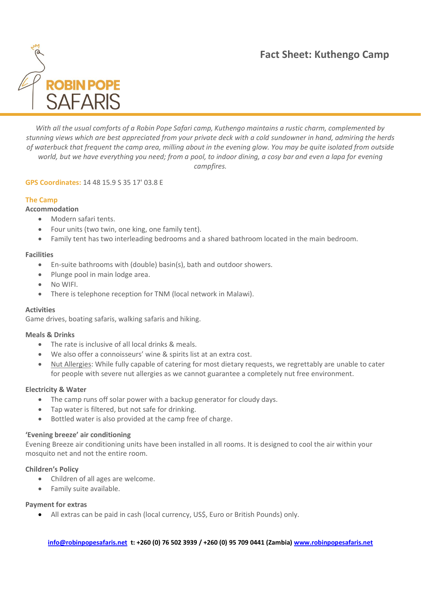

*With all the usual comforts of a Robin Pope Safari camp, Kuthengo maintains a rustic charm, complemented by stunning views which are best appreciated from your private deck with a cold sundowner in hand, admiring the herds of waterbuck that frequent the camp area, milling about in the evening glow. You may be quite isolated from outside world, but we have everything you need; from a pool, to indoor dining, a cosy bar and even a lapa for evening campfires.*

## **GPS Coordinates:** 14 48 15.9 S 35 17' 03.8 E

# **The Camp**

# **Accommodation**

- Modern safari tents.
- Four units (two twin, one king, one family tent).
- Family tent has two interleading bedrooms and a shared bathroom located in the main bedroom.

## **Facilities**

- En-suite bathrooms with (double) basin(s), bath and outdoor showers.
- Plunge pool in main lodge area.
- No WIFI.
- There is telephone reception for TNM (local network in Malawi).

### **Activities**

Game drives, boating safaris, walking safaris and hiking.

### **Meals & Drinks**

- The rate is inclusive of all local drinks & meals.
- We also offer a connoisseurs' wine & spirits list at an extra cost.
- Nut Allergies: While fully capable of catering for most dietary requests, we regrettably are unable to cater for people with severe nut allergies as we cannot guarantee a completely nut free environment.

### **Electricity & Water**

- The camp runs off solar power with a backup generator for cloudy days.
- Tap water is filtered, but not safe for drinking.
- Bottled water is also provided at the camp free of charge.

### **'Evening breeze' air conditioning**

Evening Breeze air conditioning units have been installed in all rooms. It is designed to cool the air within your mosquito net and not the entire room.

## **Children's Policy**

- Children of all ages are welcome.
- Family suite available.

### **Payment for extras**

• All extras can be paid in cash (local currency, US\$, Euro or British Pounds) only.

**[info@robinpopesafaris.net](mailto:info@robinpopesafaris.net) t: +260 (0) 76 502 3939 / +260 (0) 95 709 0441 (Zambia) [www.robinpopesafaris.net](http://www.robinpopesafaris.net/)**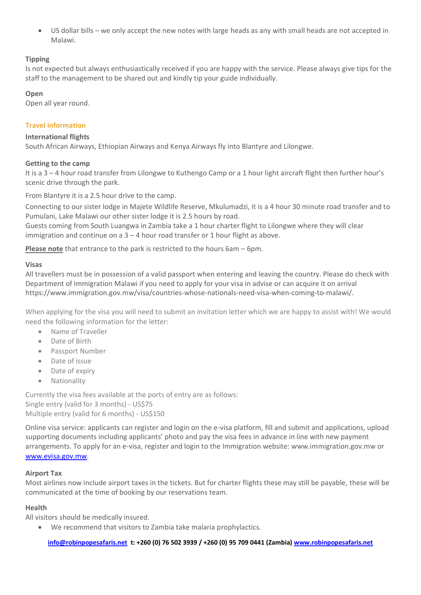• US dollar bills – we only accept the new notes with large heads as any with small heads are not accepted in Malawi.

## **Tipping**

Is not expected but always enthusiastically received if you are happy with the service. Please always give tips for the staff to the management to be shared out and kindly tip your guide individually.

### **Open**

Open all year round.

## **Travel information**

### **International flights**

South African Airways, Ethiopian Airways and Kenya Airways fly into Blantyre and Lilongwe.

### **Getting to the camp**

It is a 3 – 4 hour road transfer from Lilongwe to Kuthengo Camp or a 1 hour light aircraft flight then further hour's scenic drive through the park.

From Blantyre it is a 2.5 hour drive to the camp.

Connecting to our sister lodge in Majete Wildlife Reserve, Mkulumadzi, it is a 4 hour 30 minute road transfer and to Pumulani, Lake Malawi our other sister lodge it is 2.5 hours by road.

Guests coming from South Luangwa in Zambia take a 1 hour charter flight to Lilongwe where they will clear immigration and continue on a 3 – 4 hour road transfer or 1 hour flight as above.

**Please note** that entrance to the park is restricted to the hours 6am – 6pm.

### **Visas**

All travellers must be in possession of a valid passport when entering and leaving the country. Please do check with Department of Immigration Malawi if you need to apply for your visa in advise or can acquire it on arrival https://www.immigration.gov.mw/visa/countries-whose-nationals-need-visa-when-coming-to-malawi/.

When applying for the visa you will need to submit an invitation letter which we are happy to assist with! We would need the following information for the letter:

- Name of Traveller
- Date of Birth
- Passport Number
- Date of issue
- Date of expiry
- Nationality

Currently the visa fees available at the ports of entry are as follows: Single entry (valid for 3 months) - US\$75 Multiple entry (valid for 6 months) - US\$150

Online visa service: applicants can register and login on the e-visa platform, fill and submit and applications, upload supporting documents including applicants' photo and pay the visa fees in advance in line with new payment arrangements. To apply for an e-visa, register and login to the Immigration website: www.immigration.gov.mw or [www.evisa.gov.mw.](http://www.evisa.gov.mw/)

## **Airport Tax**

Most airlines now include airport taxes in the tickets. But for charter flights these may still be payable, these will be communicated at the time of booking by our reservations team.

## **Health**

All visitors should be medically insured.

• We recommend that visitors to Zambia take malaria prophylactics.

**[info@robinpopesafaris.net](mailto:info@robinpopesafaris.net) t: +260 (0) 76 502 3939 / +260 (0) 95 709 0441 (Zambia) [www.robinpopesafaris.net](http://www.robinpopesafaris.net/)**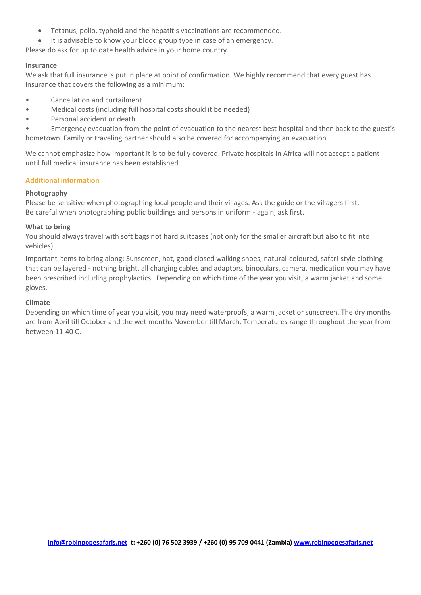- Tetanus, polio, typhoid and the hepatitis vaccinations are recommended.
- It is advisable to know your blood group type in case of an emergency.

Please do ask for up to date health advice in your home country.

#### **Insurance**

We ask that full insurance is put in place at point of confirmation. We highly recommend that every guest has insurance that covers the following as a minimum:

- Cancellation and curtailment
- Medical costs (including full hospital costs should it be needed)
- Personal accident or death

• Emergency evacuation from the point of evacuation to the nearest best hospital and then back to the guest's hometown. Family or traveling partner should also be covered for accompanying an evacuation.

We cannot emphasize how important it is to be fully covered. Private hospitals in Africa will not accept a patient until full medical insurance has been established.

### **Additional information**

### **Photography**

Please be sensitive when photographing local people and their villages. Ask the guide or the villagers first. Be careful when photographing public buildings and persons in uniform - again, ask first.

#### **What to bring**

You should always travel with soft bags not hard suitcases (not only for the smaller aircraft but also to fit into vehicles).

Important items to bring along: Sunscreen, hat, good closed walking shoes, natural-coloured, safari-style clothing that can be layered - nothing bright, all charging cables and adaptors, binoculars, camera, medication you may have been prescribed including prophylactics. Depending on which time of the year you visit, a warm jacket and some gloves.

### **Climate**

Depending on which time of year you visit, you may need waterproofs, a warm jacket or sunscreen. The dry months are from April till October and the wet months November till March. Temperatures range throughout the year from between 11-40 C.